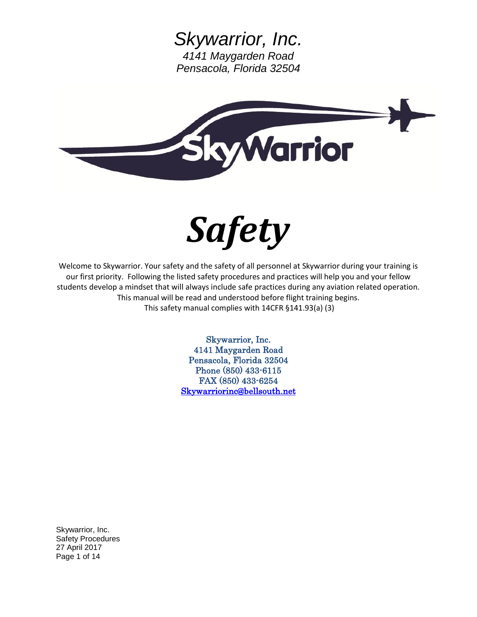



Welcome to Skywarrior. Your safety and the safety of all personnel at Skywarrior during your training is our first priority. Following the listed safety procedures and practices will help you and your fellow students develop a mindset that will always include safe practices during any aviation related operation. This manual will be read and understood before flight training begins. This safety manual complies with 14CFR §141.93(a) (3)

> Skywarrior, Inc. 4141 Maygarden Road Pensacola, Florida 32504 Phone (850) 433-6115 FAX (850) 433-6254 [Skywarriorinc@bellsouth.net](mailto:Skywarriorinc@bellsouth.net)

Skywarrior, Inc. Safety Procedures 27 April 2017 Page 1 of 14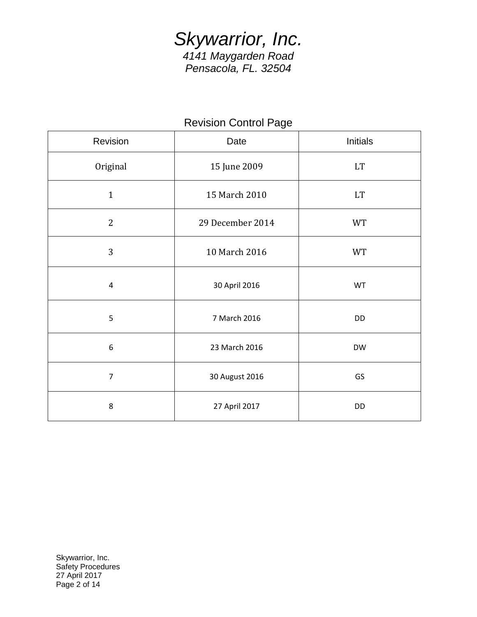## Revision Control Page

| Revision       | Date             | Initials  |  |
|----------------|------------------|-----------|--|
| Original       | 15 June 2009     | <b>LT</b> |  |
| $\mathbf{1}$   | 15 March 2010    | <b>LT</b> |  |
| $\mathbf{2}$   | 29 December 2014 | <b>WT</b> |  |
| 3              | 10 March 2016    | <b>WT</b> |  |
| $\overline{4}$ | 30 April 2016    | WT        |  |
| 5              | 7 March 2016     | <b>DD</b> |  |
| 6              | 23 March 2016    | <b>DW</b> |  |
| $\overline{7}$ | 30 August 2016   | GS        |  |
| 8              | 27 April 2017    | <b>DD</b> |  |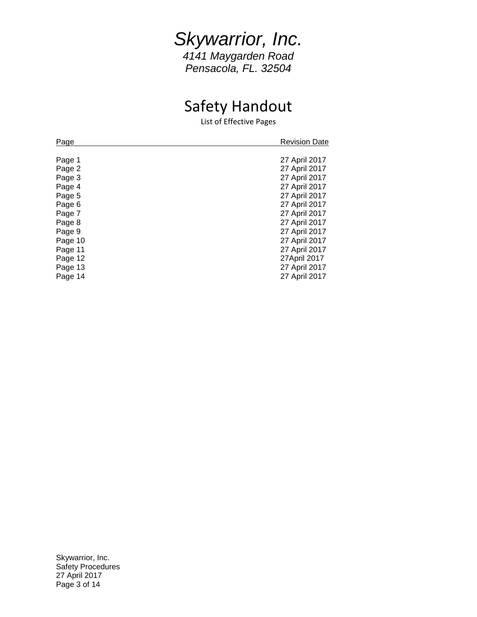## *Skywarrior, Inc. 4141 Maygarden Road*

*Pensacola, FL. 32504*

# Safety Handout

List of Effective Pages

| Page    | <b>Revision Date</b> |
|---------|----------------------|
|         |                      |
| Page 1  | 27 April 2017        |
| Page 2  | 27 April 2017        |
| Page 3  | 27 April 2017        |
| Page 4  | 27 April 2017        |
| Page 5  | 27 April 2017        |
| Page 6  | 27 April 2017        |
| Page 7  | 27 April 2017        |
| Page 8  | 27 April 2017        |
| Page 9  | 27 April 2017        |
| Page 10 | 27 April 2017        |
| Page 11 | 27 April 2017        |
| Page 12 | 27April 2017         |
| Page 13 | 27 April 2017        |
| Page 14 | 27 April 2017        |
|         |                      |

Skywarrior, Inc. Safety Procedures 27 April 2017 Page 3 of 14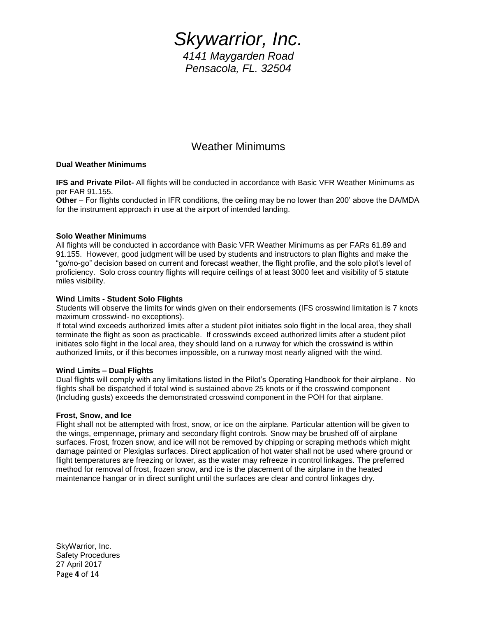### Weather Minimums

#### **Dual Weather Minimums**

**IFS and Private Pilot-** All flights will be conducted in accordance with Basic VFR Weather Minimums as per FAR 91.155.

**Other** – For flights conducted in IFR conditions, the ceiling may be no lower than 200' above the DA/MDA for the instrument approach in use at the airport of intended landing.

#### **Solo Weather Minimums**

All flights will be conducted in accordance with Basic VFR Weather Minimums as per FARs 61.89 and 91.155. However, good judgment will be used by students and instructors to plan flights and make the "go/no-go" decision based on current and forecast weather, the flight profile, and the solo pilot's level of proficiency. Solo cross country flights will require ceilings of at least 3000 feet and visibility of 5 statute miles visibility.

#### **Wind Limits - Student Solo Flights**

Students will observe the limits for winds given on their endorsements (IFS crosswind limitation is 7 knots maximum crosswind- no exceptions).

If total wind exceeds authorized limits after a student pilot initiates solo flight in the local area, they shall terminate the flight as soon as practicable. If crosswinds exceed authorized limits after a student pilot initiates solo flight in the local area, they should land on a runway for which the crosswind is within authorized limits, or if this becomes impossible, on a runway most nearly aligned with the wind.

#### **Wind Limits – Dual Flights**

Dual flights will comply with any limitations listed in the Pilot's Operating Handbook for their airplane. No flights shall be dispatched if total wind is sustained above 25 knots or if the crosswind component (Including gusts) exceeds the demonstrated crosswind component in the POH for that airplane.

#### **Frost, Snow, and Ice**

Flight shall not be attempted with frost, snow, or ice on the airplane. Particular attention will be given to the wings, empennage, primary and secondary flight controls. Snow may be brushed off of airplane surfaces. Frost, frozen snow, and ice will not be removed by chipping or scraping methods which might damage painted or Plexiglas surfaces. Direct application of hot water shall not be used where ground or flight temperatures are freezing or lower, as the water may refreeze in control linkages. The preferred method for removal of frost, frozen snow, and ice is the placement of the airplane in the heated maintenance hangar or in direct sunlight until the surfaces are clear and control linkages dry.

SkyWarrior, Inc. Safety Procedures 27 April 2017 Page **4** of 14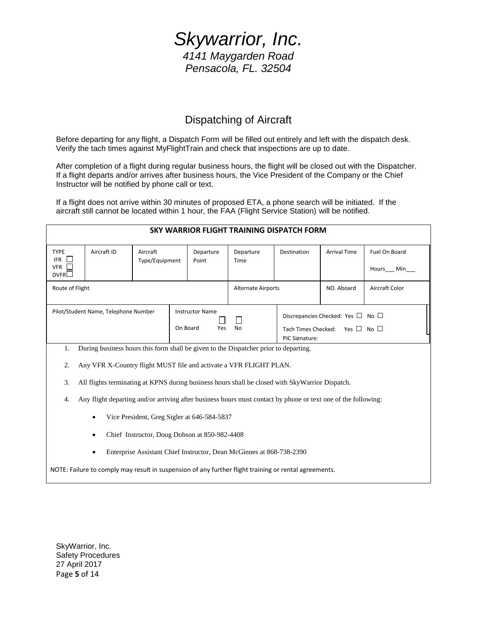### Dispatching of Aircraft

Before departing for any flight, a Dispatch Form will be filled out entirely and left with the dispatch desk. Verify the tach times against MyFlightTrain and check that inspections are up to date.

After completion of a flight during regular business hours, the flight will be closed out with the Dispatcher. If a flight departs and/or arrives after business hours, the Vice President of the Company or the Chief Instructor will be notified by phone call or text.

If a flight does not arrive within 30 minutes of proposed ETA, a phone search will be initiated. If the aircraft still cannot be located within 1 hour, the FAA (Flight Service Station) will be notified.

| SKY WARRIOR FLIGHT TRAINING DISPATCH FORM                                                                           |             |                            |     |                    |                                                                                                           |             |                     |                            |  |  |  |
|---------------------------------------------------------------------------------------------------------------------|-------------|----------------------------|-----|--------------------|-----------------------------------------------------------------------------------------------------------|-------------|---------------------|----------------------------|--|--|--|
| <b>TYPE</b><br><b>IFR</b><br>VFR    <br>DVFR                                                                        | Aircraft ID | Aircraft<br>Type/Equipment |     | Departure<br>Point | Departure<br>Time                                                                                         | Destination | <b>Arrival Time</b> | Fuel On Board<br>Hours Min |  |  |  |
| Route of Flight                                                                                                     |             |                            |     |                    | <b>Alternate Airports</b>                                                                                 |             | NO. Aboard          | Aircraft Color             |  |  |  |
| Pilot/Student Name, Telephone Number<br><b>Instructor Name</b><br>On Board                                          |             |                            | Yes | <b>No</b>          | Discrepancies Checked: Yes $\Box$ No $\Box$<br>Tach Times Checked: Yes $\Box$ No $\Box$<br>PIC Signature: |             |                     |                            |  |  |  |
| During business hours this form shall be given to the Dispatcher prior to departing.<br>1.                          |             |                            |     |                    |                                                                                                           |             |                     |                            |  |  |  |
| Any VFR X-Country flight MUST file and activate a VFR FLIGHT PLAN.<br>2.                                            |             |                            |     |                    |                                                                                                           |             |                     |                            |  |  |  |
| 3.<br>All flights terminating at KPNS during business hours shall be closed with SkyWarrior Dispatch.               |             |                            |     |                    |                                                                                                           |             |                     |                            |  |  |  |
| Any flight departing and/or arriving after business hours must contact by phone or text one of the following:<br>4. |             |                            |     |                    |                                                                                                           |             |                     |                            |  |  |  |
| Vice President, Greg Sigler at 646-584-5837<br>$\bullet$                                                            |             |                            |     |                    |                                                                                                           |             |                     |                            |  |  |  |
| Chief Instructor, Doug Dobson at 850-982-4408                                                                       |             |                            |     |                    |                                                                                                           |             |                     |                            |  |  |  |
| Enterprise Assistant Chief Instructor, Dean McGinnes at 868-738-2390                                                |             |                            |     |                    |                                                                                                           |             |                     |                            |  |  |  |
| NOTE: Failure to comply may result in suspension of any further flight training or rental agreements.               |             |                            |     |                    |                                                                                                           |             |                     |                            |  |  |  |

SkyWarrior, Inc. Safety Procedures 27 April 2017 Page **5** of 14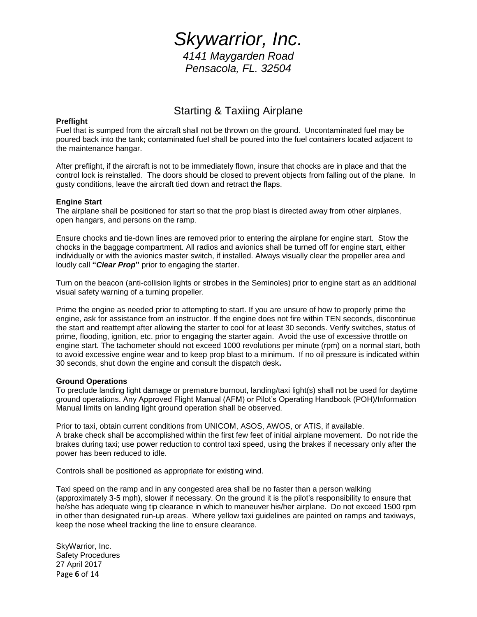### Starting & Taxiing Airplane

#### **Preflight**

Fuel that is sumped from the aircraft shall not be thrown on the ground. Uncontaminated fuel may be poured back into the tank; contaminated fuel shall be poured into the fuel containers located adjacent to the maintenance hangar.

After preflight, if the aircraft is not to be immediately flown, insure that chocks are in place and that the control lock is reinstalled. The doors should be closed to prevent objects from falling out of the plane. In gusty conditions, leave the aircraft tied down and retract the flaps.

#### **Engine Start**

The airplane shall be positioned for start so that the prop blast is directed away from other airplanes, open hangars, and persons on the ramp.

Ensure chocks and tie-down lines are removed prior to entering the airplane for engine start. Stow the chocks in the baggage compartment. All radios and avionics shall be turned off for engine start, either individually or with the avionics master switch, if installed. Always visually clear the propeller area and loudly call **"***Clear Prop***"** prior to engaging the starter.

Turn on the beacon (anti-collision lights or strobes in the Seminoles) prior to engine start as an additional visual safety warning of a turning propeller.

Prime the engine as needed prior to attempting to start. If you are unsure of how to properly prime the engine, ask for assistance from an instructor. If the engine does not fire within TEN seconds, discontinue the start and reattempt after allowing the starter to cool for at least 30 seconds. Verify switches, status of prime, flooding, ignition, etc. prior to engaging the starter again. Avoid the use of excessive throttle on engine start. The tachometer should not exceed 1000 revolutions per minute (rpm) on a normal start, both to avoid excessive engine wear and to keep prop blast to a minimum. If no oil pressure is indicated within 30 seconds, shut down the engine and consult the dispatch desk**.**

#### **Ground Operations**

To preclude landing light damage or premature burnout, landing/taxi light(s) shall not be used for daytime ground operations. Any Approved Flight Manual (AFM) or Pilot's Operating Handbook (POH)/Information Manual limits on landing light ground operation shall be observed.

Prior to taxi, obtain current conditions from UNICOM, ASOS, AWOS, or ATIS, if available. A brake check shall be accomplished within the first few feet of initial airplane movement. Do not ride the brakes during taxi; use power reduction to control taxi speed, using the brakes if necessary only after the power has been reduced to idle.

Controls shall be positioned as appropriate for existing wind.

Taxi speed on the ramp and in any congested area shall be no faster than a person walking (approximately 3-5 mph), slower if necessary. On the ground it is the pilot's responsibility to ensure that he/she has adequate wing tip clearance in which to maneuver his/her airplane. Do not exceed 1500 rpm in other than designated run-up areas. Where yellow taxi guidelines are painted on ramps and taxiways, keep the nose wheel tracking the line to ensure clearance.

SkyWarrior, Inc. Safety Procedures 27 April 2017 Page **6** of 14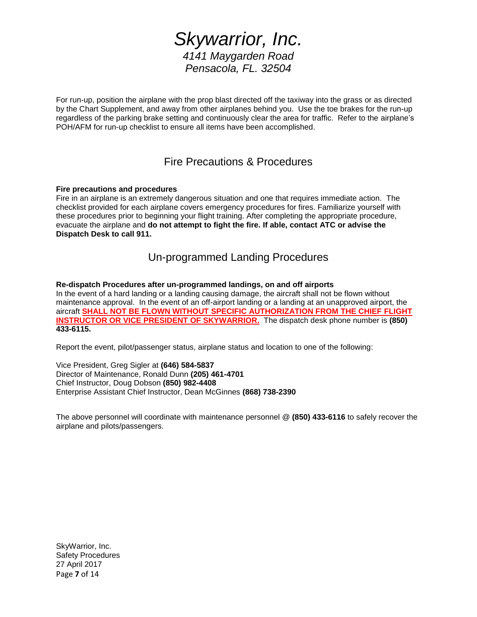For run-up, position the airplane with the prop blast directed off the taxiway into the grass or as directed by the Chart Supplement, and away from other airplanes behind you. Use the toe brakes for the run-up regardless of the parking brake setting and continuously clear the area for traffic. Refer to the airplane's POH/AFM for run-up checklist to ensure all items have been accomplished.

### Fire Precautions & Procedures

#### **Fire precautions and procedures**

Fire in an airplane is an extremely dangerous situation and one that requires immediate action. The checklist provided for each airplane covers emergency procedures for fires. Familiarize yourself with these procedures prior to beginning your flight training. After completing the appropriate procedure, evacuate the airplane and **do not attempt to fight the fire. If able, contact ATC or advise the Dispatch Desk to call 911.**

### Un-programmed Landing Procedures

**Re-dispatch Procedures after un-programmed landings, on and off airports** In the event of a hard landing or a landing causing damage, the aircraft shall not be flown without maintenance approval. In the event of an off-airport landing or a landing at an unapproved airport, the aircraft **SHALL NOT BE FLOWN WITHOUT SPECIFIC AUTHORIZATION FROM THE CHIEF FLIGHT INSTRUCTOR OR VICE PRESIDENT OF SKYWARRIOR.** The dispatch desk phone number is **(850) 433-6115.**

Report the event, pilot/passenger status, airplane status and location to one of the following:

Vice President, Greg Sigler at **(646) 584-5837** Director of Maintenance, Ronald Dunn **(205) 461-4701** Chief Instructor, Doug Dobson **(850) 982-4408** Enterprise Assistant Chief Instructor, Dean McGinnes **(868) 738-2390**

The above personnel will coordinate with maintenance personnel @ **(850) 433-6116** to safely recover the airplane and pilots/passengers.

SkyWarrior, Inc. Safety Procedures 27 April 2017 Page **7** of 14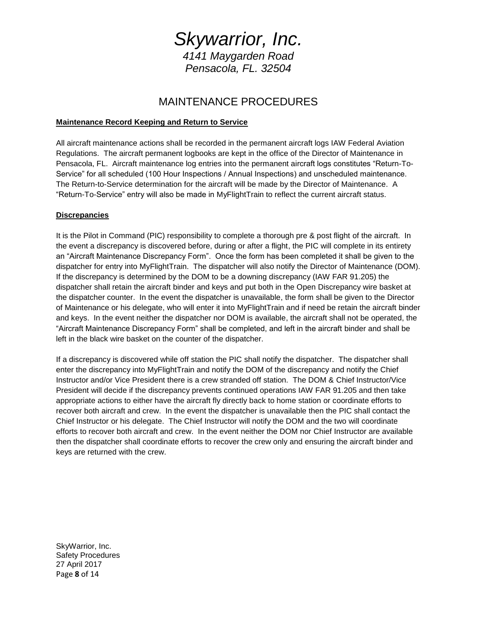### MAINTENANCE PROCEDURES

#### **Maintenance Record Keeping and Return to Service**

All aircraft maintenance actions shall be recorded in the permanent aircraft logs IAW Federal Aviation Regulations. The aircraft permanent logbooks are kept in the office of the Director of Maintenance in Pensacola, FL. Aircraft maintenance log entries into the permanent aircraft logs constitutes "Return-To-Service" for all scheduled (100 Hour Inspections / Annual Inspections) and unscheduled maintenance. The Return-to-Service determination for the aircraft will be made by the Director of Maintenance. A "Return-To-Service" entry will also be made in MyFlightTrain to reflect the current aircraft status.

#### **Discrepancies**

It is the Pilot in Command (PIC) responsibility to complete a thorough pre & post flight of the aircraft. In the event a discrepancy is discovered before, during or after a flight, the PIC will complete in its entirety an "Aircraft Maintenance Discrepancy Form". Once the form has been completed it shall be given to the dispatcher for entry into MyFlightTrain. The dispatcher will also notify the Director of Maintenance (DOM). If the discrepancy is determined by the DOM to be a downing discrepancy (IAW FAR 91.205) the dispatcher shall retain the aircraft binder and keys and put both in the Open Discrepancy wire basket at the dispatcher counter. In the event the dispatcher is unavailable, the form shall be given to the Director of Maintenance or his delegate, who will enter it into MyFlightTrain and if need be retain the aircraft binder and keys. In the event neither the dispatcher nor DOM is available, the aircraft shall not be operated, the "Aircraft Maintenance Discrepancy Form" shall be completed, and left in the aircraft binder and shall be left in the black wire basket on the counter of the dispatcher.

If a discrepancy is discovered while off station the PIC shall notify the dispatcher. The dispatcher shall enter the discrepancy into MyFlightTrain and notify the DOM of the discrepancy and notify the Chief Instructor and/or Vice President there is a crew stranded off station. The DOM & Chief Instructor/Vice President will decide if the discrepancy prevents continued operations IAW FAR 91.205 and then take appropriate actions to either have the aircraft fly directly back to home station or coordinate efforts to recover both aircraft and crew. In the event the dispatcher is unavailable then the PIC shall contact the Chief Instructor or his delegate. The Chief Instructor will notify the DOM and the two will coordinate efforts to recover both aircraft and crew. In the event neither the DOM nor Chief Instructor are available then the dispatcher shall coordinate efforts to recover the crew only and ensuring the aircraft binder and keys are returned with the crew.

SkyWarrior, Inc. Safety Procedures 27 April 2017 Page **8** of 14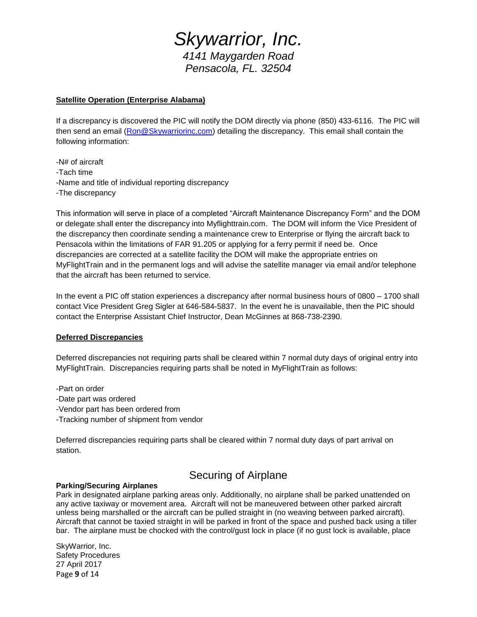#### **Satellite Operation (Enterprise Alabama)**

If a discrepancy is discovered the PIC will notify the DOM directly via phone (850) 433-6116. The PIC will then send an email [\(Ron@Skywarriorinc.com\)](mailto:Ron@Skywarriorinc.com) detailing the discrepancy. This email shall contain the following information:

-N# of aircraft -Tach time -Name and title of individual reporting discrepancy -The discrepancy

This information will serve in place of a completed "Aircraft Maintenance Discrepancy Form" and the DOM or delegate shall enter the discrepancy into Myflighttrain.com. The DOM will inform the Vice President of the discrepancy then coordinate sending a maintenance crew to Enterprise or flying the aircraft back to Pensacola within the limitations of FAR 91.205 or applying for a ferry permit if need be. Once discrepancies are corrected at a satellite facility the DOM will make the appropriate entries on MyFlightTrain and in the permanent logs and will advise the satellite manager via email and/or telephone that the aircraft has been returned to service.

In the event a PIC off station experiences a discrepancy after normal business hours of 0800 – 1700 shall contact Vice President Greg Sigler at 646-584-5837. In the event he is unavailable, then the PIC should contact the Enterprise Assistant Chief Instructor, Dean McGinnes at 868-738-2390.

#### **Deferred Discrepancies**

Deferred discrepancies not requiring parts shall be cleared within 7 normal duty days of original entry into MyFlightTrain. Discrepancies requiring parts shall be noted in MyFlightTrain as follows:

-Part on order -Date part was ordered -Vendor part has been ordered from -Tracking number of shipment from vendor

Deferred discrepancies requiring parts shall be cleared within 7 normal duty days of part arrival on station.

### Securing of Airplane

#### **Parking/Securing Airplanes**

Park in designated airplane parking areas only. Additionally, no airplane shall be parked unattended on any active taxiway or movement area. Aircraft will not be maneuvered between other parked aircraft unless being marshalled or the aircraft can be pulled straight in (no weaving between parked aircraft). Aircraft that cannot be taxied straight in will be parked in front of the space and pushed back using a tiller bar. The airplane must be chocked with the control/gust lock in place (if no gust lock is available, place

SkyWarrior, Inc. Safety Procedures 27 April 2017 Page **9** of 14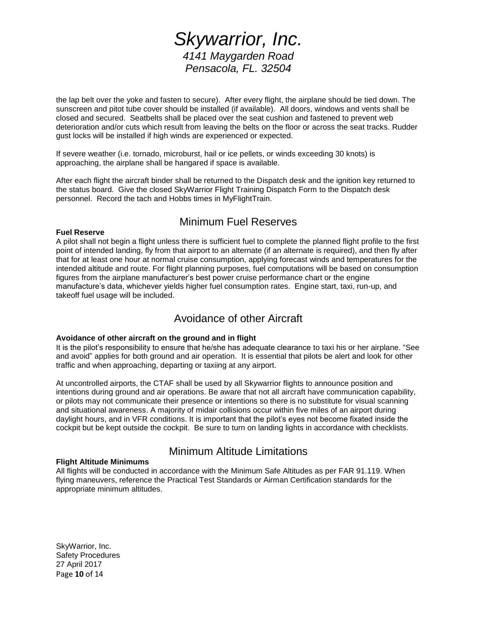the lap belt over the yoke and fasten to secure). After every flight, the airplane should be tied down. The sunscreen and pitot tube cover should be installed (if available). All doors, windows and vents shall be closed and secured. Seatbelts shall be placed over the seat cushion and fastened to prevent web deterioration and/or cuts which result from leaving the belts on the floor or across the seat tracks. Rudder gust locks will be installed if high winds are experienced or expected.

If severe weather (i.e. tornado, microburst, hail or ice pellets, or winds exceeding 30 knots) is approaching, the airplane shall be hangared if space is available.

After each flight the aircraft binder shall be returned to the Dispatch desk and the ignition key returned to the status board. Give the closed SkyWarrior Flight Training Dispatch Form to the Dispatch desk personnel. Record the tach and Hobbs times in MyFlightTrain.

### Minimum Fuel Reserves

#### **Fuel Reserve**

A pilot shall not begin a flight unless there is sufficient fuel to complete the planned flight profile to the first point of intended landing, fly from that airport to an alternate (if an alternate is required), and then fly after that for at least one hour at normal cruise consumption, applying forecast winds and temperatures for the intended altitude and route. For flight planning purposes, fuel computations will be based on consumption figures from the airplane manufacturer's best power cruise performance chart or the engine manufacture's data, whichever yields higher fuel consumption rates. Engine start, taxi, run-up, and takeoff fuel usage will be included.

### Avoidance of other Aircraft

#### **Avoidance of other aircraft on the ground and in flight**

It is the pilot's responsibility to ensure that he/she has adequate clearance to taxi his or her airplane. "See and avoid" applies for both ground and air operation. It is essential that pilots be alert and look for other traffic and when approaching, departing or taxiing at any airport.

At uncontrolled airports, the CTAF shall be used by all Skywarrior flights to announce position and intentions during ground and air operations. Be aware that not all aircraft have communication capability, or pilots may not communicate their presence or intentions so there is no substitute for visual scanning and situational awareness. A majority of midair collisions occur within five miles of an airport during daylight hours, and in VFR conditions. It is important that the pilot's eyes not become fixated inside the cockpit but be kept outside the cockpit. Be sure to turn on landing lights in accordance with checklists.

### Minimum Altitude Limitations

#### **Flight Altitude Minimums**

All flights will be conducted in accordance with the Minimum Safe Altitudes as per FAR 91.119. When flying maneuvers, reference the Practical Test Standards or Airman Certification standards for the appropriate minimum altitudes.

SkyWarrior, Inc. Safety Procedures 27 April 2017 Page **10** of 14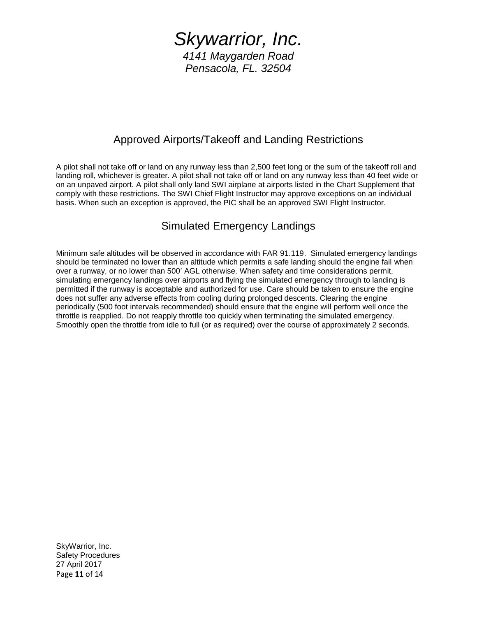### Approved Airports/Takeoff and Landing Restrictions

A pilot shall not take off or land on any runway less than 2,500 feet long or the sum of the takeoff roll and landing roll, whichever is greater. A pilot shall not take off or land on any runway less than 40 feet wide or on an unpaved airport. A pilot shall only land SWI airplane at airports listed in the Chart Supplement that comply with these restrictions. The SWI Chief Flight Instructor may approve exceptions on an individual basis. When such an exception is approved, the PIC shall be an approved SWI Flight Instructor.

### Simulated Emergency Landings

Minimum safe altitudes will be observed in accordance with FAR 91.119. Simulated emergency landings should be terminated no lower than an altitude which permits a safe landing should the engine fail when over a runway, or no lower than 500' AGL otherwise. When safety and time considerations permit, simulating emergency landings over airports and flying the simulated emergency through to landing is permitted if the runway is acceptable and authorized for use. Care should be taken to ensure the engine does not suffer any adverse effects from cooling during prolonged descents. Clearing the engine periodically (500 foot intervals recommended) should ensure that the engine will perform well once the throttle is reapplied. Do not reapply throttle too quickly when terminating the simulated emergency. Smoothly open the throttle from idle to full (or as required) over the course of approximately 2 seconds.

SkyWarrior, Inc. Safety Procedures 27 April 2017 Page **11** of 14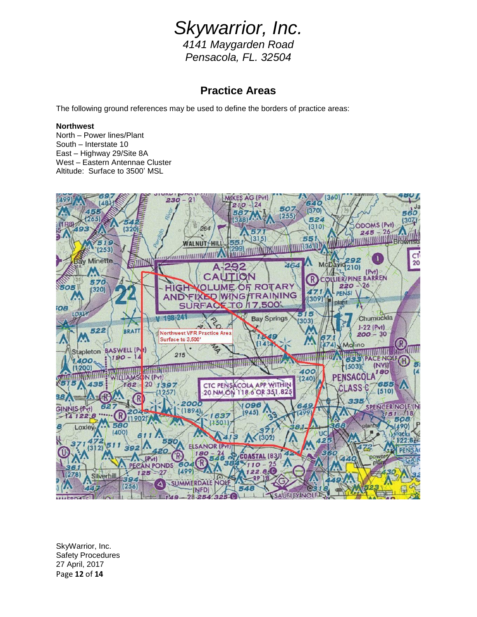# *Skywarrior, Inc.*

*4141 Maygarden Road Pensacola, FL. 32504*

### **Practice Areas**

The following ground references may be used to define the borders of practice areas:

#### **Northwest**

North – Power lines/Plant South – Interstate 10 East – Highway 29/Site 8A West – Eastern Antennae Cluster Altitude: Surface to 3500' MSL



SkyWarrior, Inc. Safety Procedures 27 April, 2017 Page **12** of **14**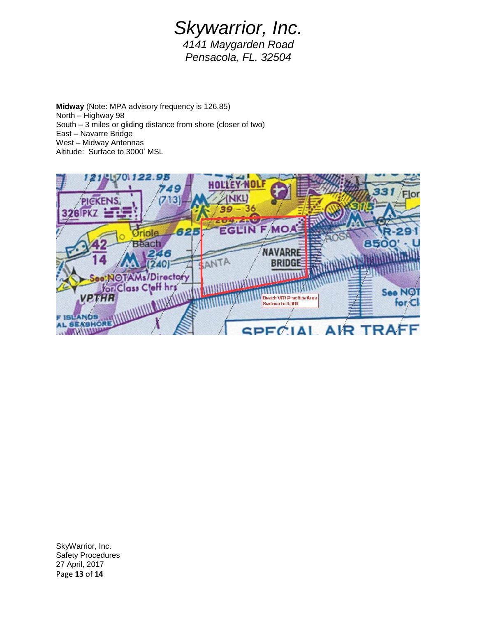**Midway** (Note: MPA advisory frequency is 126.85) North – Highway 98 South – 3 miles or gliding distance from shore (closer of two) East – Navarre Bridge West – Midway Antennas Altitude: Surface to 3000' MSL



SkyWarrior, Inc. Safety Procedures 27 April, 2017 Page **13** of **14**